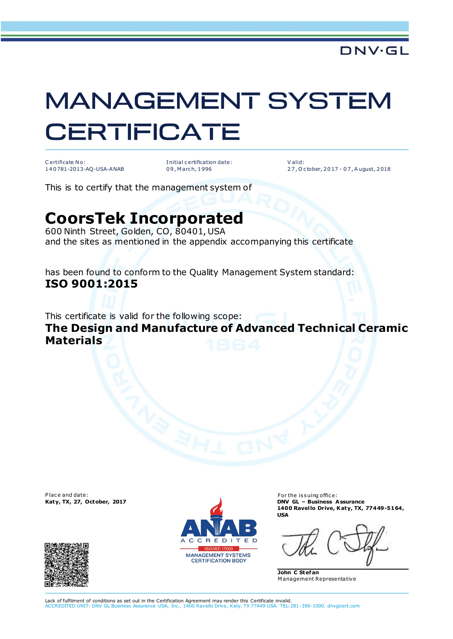## **MANAGEMENT SYSTEM CERTIFICATE**

C ertificate No: 1 4 0 781-2013-AQ-USA-ANAB I nitial c ertification date: 0 9 , M arc h, 1 996

V alid: 2 7 , O c tober, 2 0 17 - 0 7 , A ugust, 2 018

This is to certify that the management system of

## **CoorsTek Incorporated**

600 Ninth Street, Golden, CO, 80401, USA and the sites as mentioned in the appendix accompanying this certificate

has been found to conform to the Quality Management System standard: **ISO 9001:2015**

This certificate is valid for the following scope:

**The Design and Manufacture of Advanced Technical Ceramic Materials**

Place and date:





For the issuing office: **Katy, TX, 27, October, 2017 DNV GL – Business Assurance 1400 Ravel lo Drive, Katy, TX, 77449-5164, USA**

**John C Stef an** M anagement Representative

Lack of fulfilment of conditions as set out in the Certification Agreement may render this Certificate invalid.<br>ACCREDITED UNIT: DNV GL Business Assurance USA, Inc., 1400 Ravello Drive, Katy, TX 77449 USA, TEL:2 nce USA, Inc., 1400 Ravello Drive, Katy, TX 77449 USA. TEL:281-396-1000. dnvglcert.com